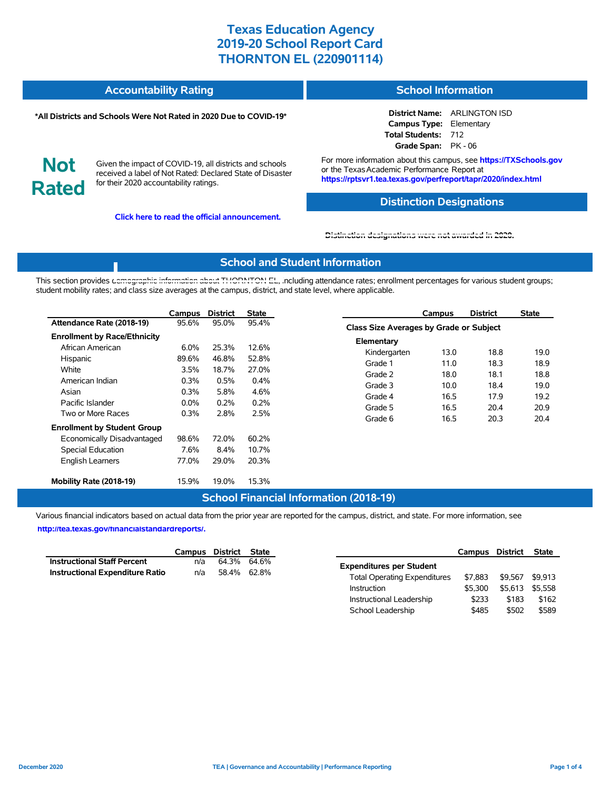| <b>Accountability Rating</b> | <b>School Information</b> |
|------------------------------|---------------------------|
|                              |                           |

#### **\*All Districts and Schools Were Not Rated in 2020 Due to COVID-19\***

**District Name:** ARLINGTON ISD **Campus Type:** Elementary **Total Students:** 712 **Grade Span:** PK - 06

**Not Rated**

Given the impact of COVID-19, all districts and schools received a label of Not Rated: Declared State of Disaster for their 2020 accountability ratings.

**Click here to read the official announcement.**

For more information about this campus, see **https://TXSchools.gov** or the Texas Academic Performance Report at **https://rptsvr1.tea.texas.gov/perfreport/tapr/2020/index.html**

### **Distinction Designations**

Instructional Leadership  $$233$  \$183 \$162 School Leadership  $$485$  \$502 \$589

#### **[Distinction designations were not awarded in 2020.](https://rptsvr1.tea.texas.gov/perfreport/tapr/2020/index.html)**

#### **School and Student Information**

This section provides [demographic information about THORNTON EL, i](https://tea.texas.gov/about-tea/news-and-multimedia/correspondence/taa-letters/every-student-succeeds-act-essa-waiver-approval-2020-state-academic-accountability)ncluding attendance rates; enrollment percentages for various student groups; student mobility rates; and class size averages at the campus, district, and state level, where applicable.

|                                                                                                                                       | Campus                                           | <b>District</b>                                 | <b>State</b>                                    |                                                                                   | Campus                                       | <b>District</b>                              | <b>State</b>                                 |  |
|---------------------------------------------------------------------------------------------------------------------------------------|--------------------------------------------------|-------------------------------------------------|-------------------------------------------------|-----------------------------------------------------------------------------------|----------------------------------------------|----------------------------------------------|----------------------------------------------|--|
| Attendance Rate (2018-19)                                                                                                             | 95.6%                                            | 95.0%                                           | 95.4%                                           |                                                                                   | Class Size Averages by Grade or Subject      |                                              |                                              |  |
| <b>Enrollment by Race/Ethnicity</b><br>African American<br>Hispanic<br>White<br>American Indian<br>Asian<br>Pacific Islander          | 6.0%<br>89.6%<br>3.5%<br>0.3%<br>0.3%<br>$0.0\%$ | 25.3%<br>46.8%<br>18.7%<br>0.5%<br>5.8%<br>0.2% | 12.6%<br>52.8%<br>27.0%<br>0.4%<br>4.6%<br>0.2% | Elementary<br>Kindergarten<br>Grade 1<br>Grade 2<br>Grade 3<br>Grade 4<br>Grade 5 | 13.0<br>11.0<br>18.0<br>10.0<br>16.5<br>16.5 | 18.8<br>18.3<br>18.1<br>18.4<br>17.9<br>20.4 | 19.0<br>18.9<br>18.8<br>19.0<br>19.2<br>20.9 |  |
| Two or More Races<br><b>Enrollment by Student Group</b><br>Economically Disadvantaged<br>Special Education<br><b>English Learners</b> | 0.3%<br>98.6%<br>7.6%<br>77.0%                   | 2.8%<br>72.0%<br>8.4%<br>29.0%                  | 2.5%<br>60.2%<br>10.7%<br>20.3%                 | Grade 6                                                                           | 16.5                                         | 20.3                                         | 20.4                                         |  |
| Mobility Rate (2018-19)                                                                                                               | 15.9%                                            | 19.0%                                           | 15.3%                                           |                                                                                   |                                              |                                              |                                              |  |

### **School Financial Information (2018-19)**

Various financial indicators based on actual data from the prior year are reported for the campus, district, and state. For more information, see

**[http://tea.texas.gov/financialstandardreports/.](http://tea.texas.gov/financialstandardreports/)**

|                                    |     | Campus District State |                                     | Campus District         | State |
|------------------------------------|-----|-----------------------|-------------------------------------|-------------------------|-------|
| <b>Instructional Staff Percent</b> | n/a | 64.3% 64.6%           | <b>Expenditures per Student</b>     |                         |       |
| Instructional Expenditure Ratio    | n/a | 58.4% 62.8%           | <b>Total Operating Expenditures</b> | \$7,883 \$9,567 \$9,913 |       |
|                                    |     |                       | \$5.300<br>Instruction              | \$5,613 \$5,558         |       |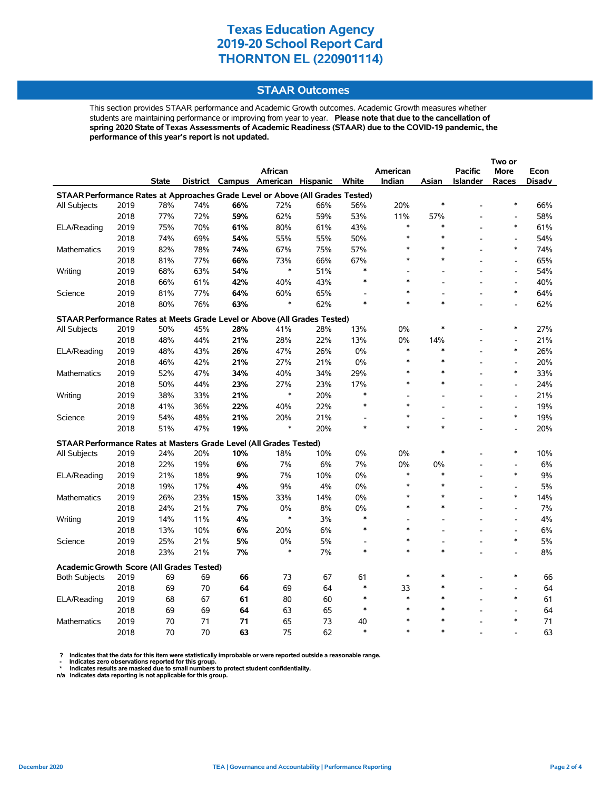### **STAAR Outcomes**

This section provides STAAR performance and Academic Growth outcomes. Academic Growth measures whether students are maintaining performance or improving from year to year. **Please note that due to the cancellation of spring 2020 State of Texas Assessments of Academic Readiness (STAAR) due to the COVID-19 pandemic, the performance of this year's report is not updated.**

|                                                                                |      |              |     |     | <b>African</b>                    |     |              | American     |        | <b>Pacific</b>  | More                     | Econ     |  |
|--------------------------------------------------------------------------------|------|--------------|-----|-----|-----------------------------------|-----|--------------|--------------|--------|-----------------|--------------------------|----------|--|
|                                                                                |      | <b>State</b> |     |     | District Campus American Hispanic |     | White        | Indian       | Asian  | <b>Islander</b> | <b>Races</b>             | Disadv   |  |
| STAAR Performance Rates at Approaches Grade Level or Above (All Grades Tested) |      |              |     |     |                                   |     |              |              |        |                 |                          |          |  |
| All Subjects                                                                   | 2019 | 78%          | 74% | 66% | 72%                               | 66% | 56%          | 20%          | $\ast$ |                 | $\ast$                   | 66%      |  |
|                                                                                | 2018 | 77%          | 72% | 59% | 62%                               | 59% | 53%          | 11%          | 57%    |                 | $\overline{\phantom{a}}$ | 58%      |  |
| ELA/Reading                                                                    | 2019 | 75%          | 70% | 61% | 80%                               | 61% | 43%          | $\ast$       | $\ast$ |                 | *                        | 61%      |  |
|                                                                                | 2018 | 74%          | 69% | 54% | 55%                               | 55% | 50%          | $\ast$       | $\ast$ |                 | $\overline{a}$           | 54%      |  |
| Mathematics                                                                    | 2019 | 82%          | 78% | 74% | 67%                               | 75% | 57%          | *            | $\ast$ |                 | $\ast$                   | 74%      |  |
|                                                                                | 2018 | 81%          | 77% | 66% | 73%                               | 66% | 67%          | *            | $\ast$ |                 | $\overline{a}$           | 65%      |  |
| Writing                                                                        | 2019 | 68%          | 63% | 54% | *                                 | 51% | $\ast$       |              |        |                 | $\overline{a}$           | 54%      |  |
|                                                                                | 2018 | 66%          | 61% | 42% | 40%                               | 43% | $\ast$       | $\ast$       |        |                 | L,                       | 40%      |  |
| Science                                                                        | 2019 | 81%          | 77% | 64% | 60%                               | 65% |              | $\ast$       |        |                 | $\ast$                   | 64%      |  |
|                                                                                | 2018 | 80%          | 76% | 63% | $\ast$                            | 62% | $\ast$       | $\ast$       | $\ast$ |                 |                          | 62%      |  |
| STAAR Performance Rates at Meets Grade Level or Above (All Grades Tested)      |      |              |     |     |                                   |     |              |              |        |                 |                          |          |  |
| All Subjects                                                                   | 2019 | 50%          | 45% | 28% | 41%                               | 28% | 13%          | 0%           | $\ast$ |                 | $\ast$                   | 27%      |  |
|                                                                                | 2018 | 48%          | 44% | 21% | 28%                               | 22% | 13%          | 0%           | 14%    |                 | $\overline{a}$           | 21%      |  |
| ELA/Reading                                                                    | 2019 | 48%          | 43% | 26% | 47%                               | 26% | $0\%$        | $\ast$       | $\ast$ |                 | $\ast$                   | 26%      |  |
|                                                                                | 2018 | 46%          | 42% | 21% | 27%                               | 21% | $0\%$        | $\ast$       | $\ast$ |                 | L,                       | 20%      |  |
| Mathematics                                                                    | 2019 | 52%          | 47% | 34% | 40%                               | 34% | 29%          | $\ast$       | $\ast$ |                 | $\ast$                   | 33%      |  |
|                                                                                | 2018 | 50%          | 44% | 23% | 27%                               | 23% | 17%          | $\ast$       | $\ast$ |                 | $\overline{\phantom{a}}$ | 24%      |  |
| Writing                                                                        | 2019 | 38%          | 33% | 21% | $\ast$                            | 20% | $\ast$       |              |        |                 | $\overline{a}$           | 21%      |  |
|                                                                                | 2018 | 41%          | 36% | 22% | 40%                               | 22% | $\ast$       | $\ast$       |        |                 | $\overline{a}$           | 19%      |  |
| Science                                                                        | 2019 | 54%          | 48% | 21% | 20%                               | 21% |              | $\ast$       |        |                 | $\ast$                   | 19%      |  |
|                                                                                | 2018 | 51%          | 47% | 19% | $\ast$                            | 20% | $\ast$       | $\ast$       | $\ast$ |                 | $\overline{a}$           | 20%      |  |
| <b>STAAR Performance Rates at Masters Grade Level (All Grades Tested)</b>      |      |              |     |     |                                   |     |              |              |        |                 |                          |          |  |
| All Subjects                                                                   | 2019 | 24%          | 20% | 10% | 18%                               | 10% | 0%           | 0%           | $\ast$ |                 | $\ast$                   | 10%      |  |
|                                                                                | 2018 | 22%          | 19% | 6%  | 7%                                | 6%  | 7%           | 0%           | 0%     |                 | $\overline{a}$           | 6%       |  |
| ELA/Reading                                                                    | 2019 | 21%          | 18% | 9%  | 7%                                | 10% | 0%           | $\ast$       | $\ast$ |                 | $\ast$                   | 9%       |  |
|                                                                                | 2018 | 19%          | 17% | 4%  | 9%                                | 4%  | 0%           | $\ast$       | $\ast$ |                 | $\overline{a}$           | 5%       |  |
| Mathematics                                                                    | 2019 | 26%          | 23% | 15% | 33%                               | 14% | 0%           | $\ast$       | $\ast$ |                 | $\ast$                   | 14%      |  |
|                                                                                | 2018 | 24%          | 21% | 7%  | 0%                                | 8%  | 0%           | $\ast$       | $\ast$ |                 | $\overline{a}$           | 7%       |  |
| Writing                                                                        | 2019 | 14%          | 11% | 4%  | $\ast$                            | 3%  | $\ast$       |              | ÷.     |                 | $\overline{a}$           | 4%       |  |
|                                                                                | 2018 | 13%          | 10% | 6%  | 20%                               | 6%  | $\ast$       | $\ast$       |        |                 | $\overline{a}$           | 6%       |  |
| Science                                                                        | 2019 | 25%          | 21% | 5%  | 0%                                | 5%  | ۰            | *            |        |                 | $\ast$                   | 5%       |  |
|                                                                                | 2018 | 23%          | 21% | 7%  | $\ast$                            | 7%  | $\ast$       | $\ast$       | $\ast$ |                 |                          | 8%       |  |
|                                                                                |      |              |     |     |                                   |     |              |              |        |                 |                          |          |  |
| <b>Academic Growth Score (All Grades Tested)</b>                               |      |              |     |     |                                   |     |              | $\ast$       | $\ast$ |                 | $\ast$                   |          |  |
| <b>Both Subjects</b>                                                           | 2019 | 69           | 69  | 66  | 73                                | 67  | 61<br>$\ast$ |              |        |                 |                          | 66       |  |
|                                                                                | 2018 | 69           | 70  | 64  | 69                                | 64  | $\ast$       | 33<br>$\ast$ | $\ast$ |                 | $\ast$                   | 64       |  |
| ELA/Reading                                                                    | 2019 | 68           | 67  | 61  | 80                                | 60  | $\ast$       | $\ast$       | $\ast$ |                 |                          | 61       |  |
|                                                                                | 2018 | 69<br>70     | 69  | 64  | 63                                | 65  |              | $\ast$       | $\ast$ |                 | $\ast$                   | 64<br>71 |  |
| Mathematics                                                                    | 2019 |              | 71  | 71  | 65                                | 73  | 40<br>$\ast$ | $\ast$       | $\ast$ |                 |                          |          |  |
|                                                                                | 2018 | 70           | 70  | 63  | 75                                | 62  |              |              |        |                 |                          | 63       |  |

? Indicates that the data for this item were statistically improbable or were reported outside a reasonable range.<br>- Indicates zero observations reported for this group.<br>\* Indicates results are masked due to small numbers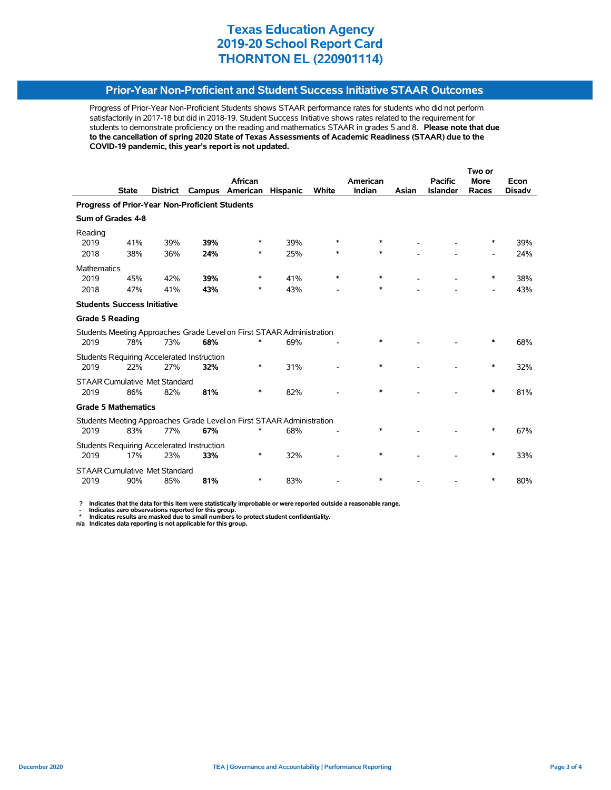### **Prior-Year Non-Proficient and Student Success Initiative STAAR Outcomes**

Progress of Prior-Year Non-Proficient Students shows STAAR performance rates for students who did not perform satisfactorily in 2017-18 but did in 2018-19. Student Success Initiative shows rates related to the requirement for students to demonstrate proficiency on the reading and mathematics STAAR in grades 5 and 8. **Please note that due to the cancellation of spring 2020 State of Texas Assessments of Academic Readiness (STAAR) due to the COVID-19 pandemic, this year's report is not updated.**

|                                                |              |                 |                                                   |                                                                       |                 | Two or |          |       |                 |             |               |  |
|------------------------------------------------|--------------|-----------------|---------------------------------------------------|-----------------------------------------------------------------------|-----------------|--------|----------|-------|-----------------|-------------|---------------|--|
|                                                |              |                 |                                                   | African                                                               |                 |        | American |       | <b>Pacific</b>  | <b>More</b> | Econ          |  |
|                                                | <b>State</b> | <b>District</b> | Campus                                            | American                                                              | <b>Hispanic</b> | White  | Indian   | Asian | <b>Islander</b> | Races       | <b>Disadv</b> |  |
| Progress of Prior-Year Non-Proficient Students |              |                 |                                                   |                                                                       |                 |        |          |       |                 |             |               |  |
| Sum of Grades 4-8                              |              |                 |                                                   |                                                                       |                 |        |          |       |                 |             |               |  |
| Reading                                        |              |                 |                                                   |                                                                       |                 |        |          |       |                 |             |               |  |
| 2019                                           | 41%          | 39%             | 39%                                               | ∗                                                                     | 39%             | $\ast$ | $\ast$   |       |                 | ∗           | 39%           |  |
| 2018                                           | 38%          | 36%             | 24%                                               | ∗                                                                     | 25%             | ∗      | $\ast$   |       |                 |             | 24%           |  |
| <b>Mathematics</b>                             |              |                 |                                                   |                                                                       |                 |        |          |       |                 |             |               |  |
| 2019                                           | 45%          | 42%             | 39%                                               | $\ast$                                                                | 41%             | $\ast$ | $\ast$   |       |                 | $\ast$      | 38%           |  |
| 2018                                           | 47%          | 41%             | 43%                                               | ∗                                                                     | 43%             |        | *        |       |                 | -           | 43%           |  |
| <b>Students Success Initiative</b>             |              |                 |                                                   |                                                                       |                 |        |          |       |                 |             |               |  |
| <b>Grade 5 Reading</b>                         |              |                 |                                                   |                                                                       |                 |        |          |       |                 |             |               |  |
|                                                |              |                 |                                                   | Students Meeting Approaches Grade Level on First STAAR Administration |                 |        |          |       |                 |             |               |  |
| 2019                                           | 78%          | 73%             | 68%                                               | *                                                                     | 69%             |        | $\ast$   |       |                 | $\ast$      | 68%           |  |
|                                                |              |                 | <b>Students Requiring Accelerated Instruction</b> |                                                                       |                 |        |          |       |                 |             |               |  |
| 2019                                           | 22%          | 27%             | 32%                                               | *                                                                     | 31%             |        | $\ast$   |       |                 | $\ast$      | 32%           |  |
| <b>STAAR Cumulative Met Standard</b>           |              |                 |                                                   |                                                                       |                 |        |          |       |                 |             |               |  |
| 2019                                           | 86%          | 82%             | 81%                                               | *                                                                     | 82%             |        | $\ast$   |       |                 | $\ast$      | 81%           |  |
| <b>Grade 5 Mathematics</b>                     |              |                 |                                                   |                                                                       |                 |        |          |       |                 |             |               |  |
|                                                |              |                 |                                                   | Students Meeting Approaches Grade Level on First STAAR Administration |                 |        |          |       |                 |             |               |  |
| 2019                                           | 83%          | 77%             | 67%                                               |                                                                       | 68%             |        | *        |       |                 | *           | 67%           |  |
|                                                |              |                 | <b>Students Requiring Accelerated Instruction</b> |                                                                       |                 |        |          |       |                 |             |               |  |
| 2019                                           | 17%          | 23%             | 33%                                               | $\ast$                                                                | 32%             |        | *        |       |                 | ∗           | 33%           |  |
| <b>STAAR Cumulative Met Standard</b>           |              |                 |                                                   |                                                                       |                 |        |          |       |                 |             |               |  |
| 2019                                           | 90%          | 85%             | 81%                                               | ∗                                                                     | 83%             |        | $\ast$   |       |                 | *           | 80%           |  |

 **? Indicates that the data for this item were statistically improbable or were reported outside a reasonable range.**

 **- Indicates zero observations reported for this group. \* Indicates results are masked due to small numbers to protect student confidentiality.**

**n/a Indicates data reporting is not applicable for this group.**